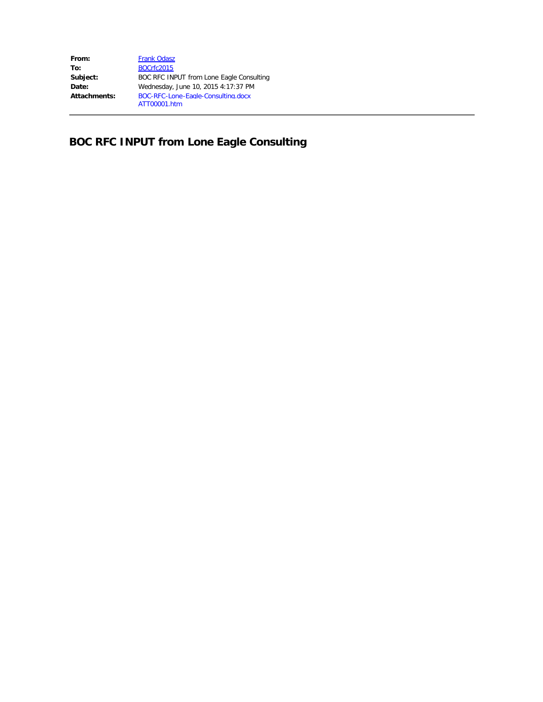| From:        | <b>Frank Odasz</b>                       |
|--------------|------------------------------------------|
| To:          | <b>BOCrfc2015</b>                        |
| Subject:     | BOC RFC INPUT from Lone Eagle Consulting |
| Date:        | Wednesday, June 10, 2015 4:17:37 PM      |
| Attachments: | BOC-RFC-Lone-Eagle-Consulting.docx       |
|              | ATT00001.htm                             |

# **BOC RFC INPUT from Lone Eagle Consulting**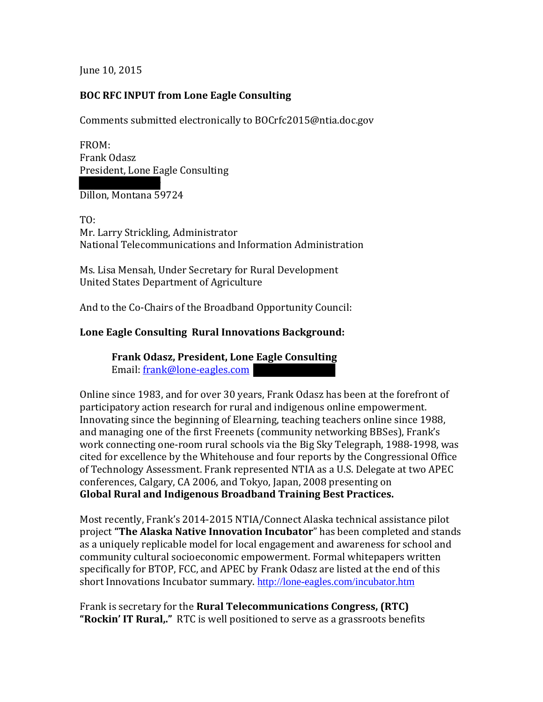June 10, 2015

### **BOC RFC INPUT from Lone Eagle Consulting**

Comments submitted electronically to BOCrfc2015@ntia.doc.gov

FROM: Frank Odasz President, Lone Eagle Consulting

2200 Rebich Lane Dillon, Montana 59724

TO: Mr. Larry Strickling, Administrator National Telecommunications and Information Administration

Ms. Lisa Mensah, Under Secretary for Rural Development United States Department of Agriculture

And to the Co-Chairs of the Broadband Opportunity Council:

## **Lone Eagle Consulting Rural Innovations Background:**

**Frank Odasz, President, Lone Eagle Consulting** Email: frank@lone-eagles.com

Online since 1983, and for over 30 years, Frank Odasz has been at the forefront of participatory action research for rural and indigenous online empowerment. Innovating since the beginning of Elearning, teaching teachers online since 1988, and managing one of the first Freenets (community networking BBSes), Frank's work connecting one-room rural schools via the Big Sky Telegraph, 1988-1998, was cited for excellence by the Whitehouse and four reports by the Congressional Office of Technology Assessment. Frank represented NTIA as a U.S. Delegate at two APEC conferences, Calgary, CA 2006, and Tokyo, Japan, 2008 presenting on **Global Rural and Indigenous Broadband Training Best Practices.**

Most recently, Frank's 2014-2015 NTIA/Connect Alaska technical assistance pilot project **"The Alaska Native Innovation Incubator**" has been completed and stands as a uniquely replicable model for local engagement and awareness for school and community cultural socioeconomic empowerment. Formal whitepapers written specifically for BTOP, FCC, and APEC by Frank Odasz are listed at the end of this short Innovations Incubator summary. <http://lone-eagles.com/incubator.htm>

Frank is secretary for the **Rural Telecommunications Congress, (RTC) "Rockin' IT Rural,."** RTC is well positioned to serve as a grassroots benefits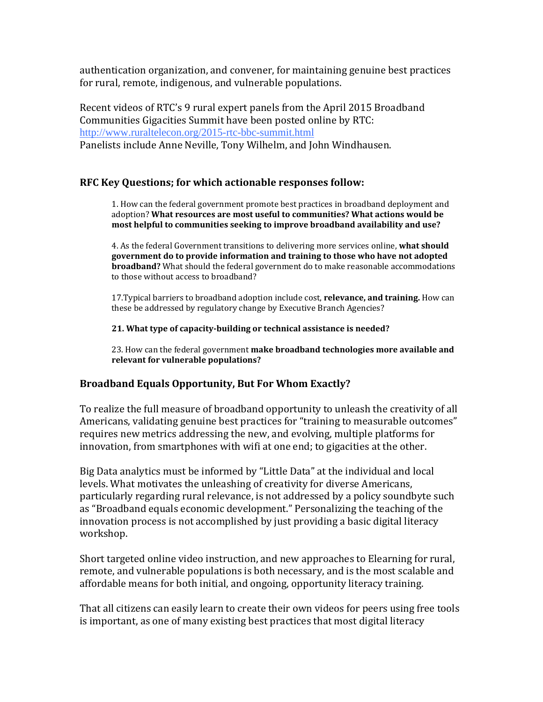authentication organization, and convener, for maintaining genuine best practices for rural, remote, indigenous, and vulnerable populations.

Recent videos of RTC's 9 rural expert panels from the April 2015 Broadband Communities Gigacities Summit have been posted online by RTC: <http://www.ruraltelecon.org/2015-rtc-bbc-summit.html> Panelists include Anne Neville, Tony Wilhelm, and John Windhausen.

#### **RFC Key Questions; for which actionable responses follow:**

1. How can the federal government promote best practices in broadband deployment and adoption? **What resources are most useful to communities? What actions would be most helpful to communities seeking to improve broadband availability and use?**

4. As the federal Government transitions to delivering more services online, **what should government do to provide information and training to those who have not adopted broadband?** What should the federal government do to make reasonable accommodations to those without access to broadband?

17.Typical barriers to broadband adoption include cost, **relevance, and training.** How can these be addressed by regulatory change by Executive Branch Agencies?

**21. What type of capacity-building or technical assistance is needed?**

23. How can the federal government **make broadband technologies more available and relevant for vulnerable populations?**

#### **Broadband Equals Opportunity, But For Whom Exactly?**

To realize the full measure of broadband opportunity to unleash the creativity of all Americans, validating genuine best practices for "training to measurable outcomes" requires new metrics addressing the new, and evolving, multiple platforms for innovation, from smartphones with wifi at one end; to gigacities at the other.

Big Data analytics must be informed by "Little Data" at the individual and local levels. What motivates the unleashing of creativity for diverse Americans, particularly regarding rural relevance, is not addressed by a policy soundbyte such as "Broadband equals economic development." Personalizing the teaching of the innovation process is not accomplished by just providing a basic digital literacy workshop.

Short targeted online video instruction, and new approaches to Elearning for rural, remote, and vulnerable populations is both necessary, and is the most scalable and affordable means for both initial, and ongoing, opportunity literacy training.

That all citizens can easily learn to create their own videos for peers using free tools is important, as one of many existing best practices that most digital literacy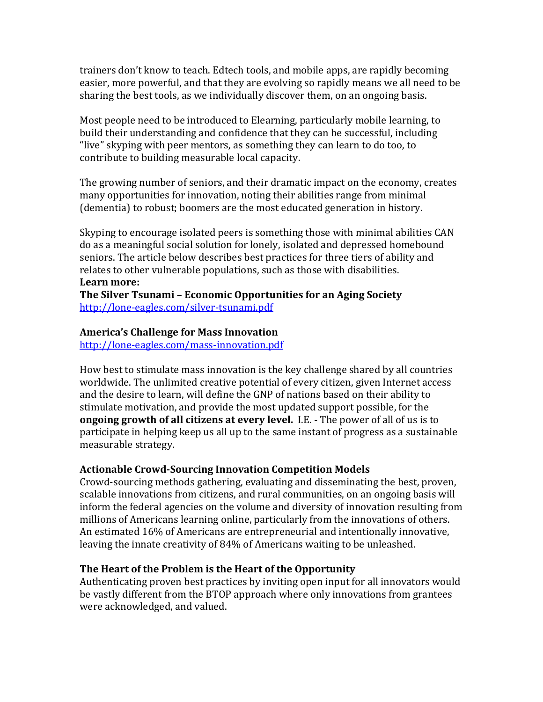trainers don't know to teach. Edtech tools, and mobile apps, are rapidly becoming easier, more powerful, and that they are evolving so rapidly means we all need to be sharing the best tools, as we individually discover them, on an ongoing basis.

Most people need to be introduced to Elearning, particularly mobile learning, to build their understanding and confidence that they can be successful, including "live" skyping with peer mentors, as something they can learn to do too, to contribute to building measurable local capacity.

The growing number of seniors, and their dramatic impact on the economy, creates many opportunities for innovation, noting their abilities range from minimal (dementia) to robust; boomers are the most educated generation in history.

Skyping to encourage isolated peers is something those with minimal abilities CAN do as a meaningful social solution for lonely, isolated and depressed homebound seniors. The article below describes best practices for three tiers of ability and relates to other vulnerable populations, such as those with disabilities. **Learn more:** 

**The Silver Tsunami – Economic Opportunities for an Aging Society** <http://lone-eagles.com/silver-tsunami.pdf>

#### **America's Challenge for Mass Innovation**

<http://lone-eagles.com/mass-innovation.pdf>

How best to stimulate mass innovation is the key challenge shared by all countries worldwide. The unlimited creative potential of every citizen, given Internet access and the desire to learn, will define the GNP of nations based on their ability to stimulate motivation, and provide the most updated support possible, for the **ongoing growth of all citizens at every level.** I.E. - The power of all of us is to participate in helping keep us all up to the same instant of progress as a sustainable measurable strategy.

#### **Actionable Crowd-Sourcing Innovation Competition Models**

Crowd-sourcing methods gathering, evaluating and disseminating the best, proven, scalable innovations from citizens, and rural communities, on an ongoing basis will inform the federal agencies on the volume and diversity of innovation resulting from millions of Americans learning online, particularly from the innovations of others. An estimated 16% of Americans are entrepreneurial and intentionally innovative, leaving the innate creativity of 84% of Americans waiting to be unleashed.

## **The Heart of the Problem is the Heart of the Opportunity**

Authenticating proven best practices by inviting open input for all innovators would be vastly different from the BTOP approach where only innovations from grantees were acknowledged, and valued.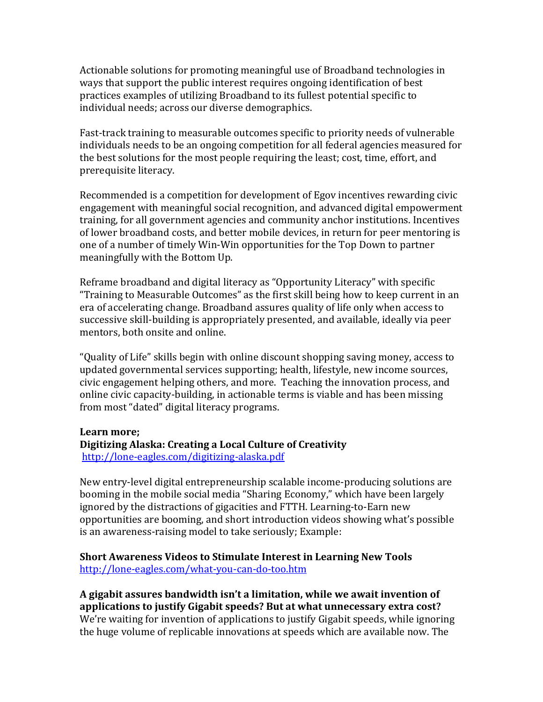Actionable solutions for promoting meaningful use of Broadband technologies in ways that support the public interest requires ongoing identification of best practices examples of utilizing Broadband to its fullest potential specific to individual needs; across our diverse demographics.

Fast-track training to measurable outcomes specific to priority needs of vulnerable individuals needs to be an ongoing competition for all federal agencies measured for the best solutions for the most people requiring the least; cost, time, effort, and prerequisite literacy.

Recommended is a competition for development of Egov incentives rewarding civic engagement with meaningful social recognition, and advanced digital empowerment training, for all government agencies and community anchor institutions. Incentives of lower broadband costs, and better mobile devices, in return for peer mentoring is one of a number of timely Win-Win opportunities for the Top Down to partner meaningfully with the Bottom Up.

Reframe broadband and digital literacy as "Opportunity Literacy" with specific "Training to Measurable Outcomes" as the first skill being how to keep current in an era of accelerating change. Broadband assures quality of life only when access to successive skill-building is appropriately presented, and available, ideally via peer mentors, both onsite and online.

"Quality of Life" skills begin with online discount shopping saving money, access to updated governmental services supporting; health, lifestyle, new income sources, civic engagement helping others, and more. Teaching the innovation process, and online civic capacity-building, in actionable terms is viable and has been missing from most "dated" digital literacy programs.

#### **Learn more;**

#### **Digitizing Alaska: Creating a Local Culture of Creativity** <http://lone-eagles.com/digitizing-alaska.pdf>

New entry-level digital entrepreneurship scalable income-producing solutions are booming in the mobile social media "Sharing Economy," which have been largely ignored by the distractions of gigacities and FTTH. Learning-to-Earn new opportunities are booming, and short introduction videos showing what's possible is an awareness-raising model to take seriously; Example:

#### **Short Awareness Videos to Stimulate Interest in Learning New Tools**  <http://lone-eagles.com/what-you-can-do-too.htm>

## **A gigabit assures bandwidth isn't a limitation, while we await invention of applications to justify Gigabit speeds? But at what unnecessary extra cost?**

We're waiting for invention of applications to justify Gigabit speeds, while ignoring the huge volume of replicable innovations at speeds which are available now. The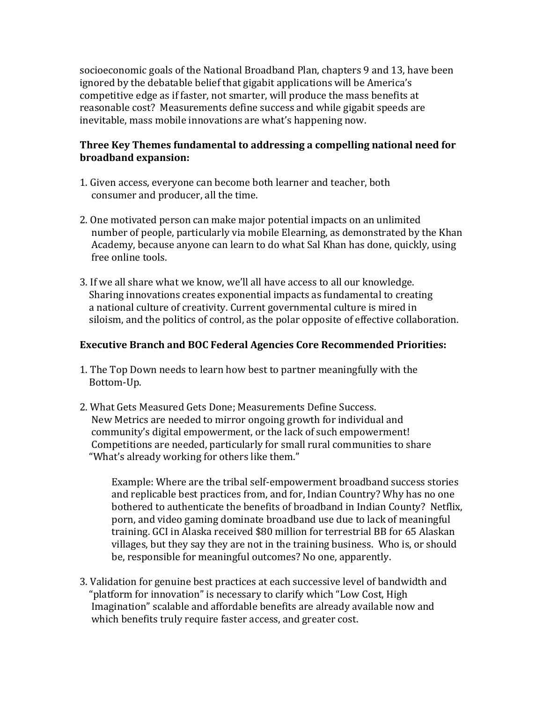socioeconomic goals of the National Broadband Plan, chapters 9 and 13, have been ignored by the debatable belief that gigabit applications will be America's competitive edge as if faster, not smarter, will produce the mass benefits at reasonable cost? Measurements define success and while gigabit speeds are inevitable, mass mobile innovations are what's happening now.

## **Three Key Themes fundamental to addressing a compelling national need for broadband expansion:**

- 1. Given access, everyone can become both learner and teacher, both consumer and producer, all the time.
- 2. One motivated person can make major potential impacts on an unlimited number of people, particularly via mobile Elearning, as demonstrated by the Khan Academy, because anyone can learn to do what Sal Khan has done, quickly, using free online tools.
- 3. If we all share what we know, we'll all have access to all our knowledge. Sharing innovations creates exponential impacts as fundamental to creating a national culture of creativity. Current governmental culture is mired in siloism, and the politics of control, as the polar opposite of effective collaboration.

## **Executive Branch and BOC Federal Agencies Core Recommended Priorities:**

- 1. The Top Down needs to learn how best to partner meaningfully with the Bottom-Up.
- 2. What Gets Measured Gets Done; Measurements Define Success. New Metrics are needed to mirror ongoing growth for individual and community's digital empowerment, or the lack of such empowerment! Competitions are needed, particularly for small rural communities to share "What's already working for others like them."

Example: Where are the tribal self-empowerment broadband success stories and replicable best practices from, and for, Indian Country? Why has no one bothered to authenticate the benefits of broadband in Indian County? Netflix, porn, and video gaming dominate broadband use due to lack of meaningful training. GCI in Alaska received \$80 million for terrestrial BB for 65 Alaskan villages, but they say they are not in the training business. Who is, or should be, responsible for meaningful outcomes? No one, apparently.

3. Validation for genuine best practices at each successive level of bandwidth and "platform for innovation" is necessary to clarify which "Low Cost, High Imagination" scalable and affordable benefits are already available now and which benefits truly require faster access, and greater cost.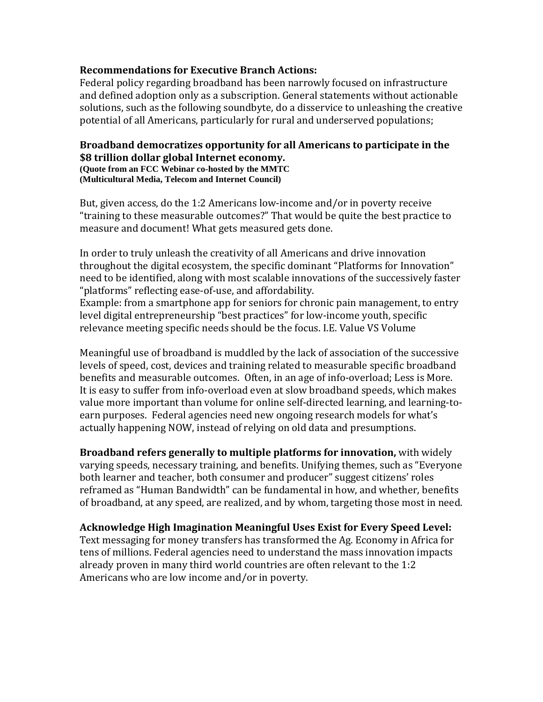#### **Recommendations for Executive Branch Actions:**

Federal policy regarding broadband has been narrowly focused on infrastructure and defined adoption only as a subscription. General statements without actionable solutions, such as the following soundbyte, do a disservice to unleashing the creative potential of all Americans, particularly for rural and underserved populations;

# **Broadband democratizes opportunity for all Americans to participate in the \$8 trillion dollar global Internet economy. (Quote from an FCC Webinar co-hosted by the MMTC**

**(Multicultural Media, Telecom and Internet Council)**

But, given access, do the 1:2 Americans low-income and/or in poverty receive "training to these measurable outcomes?" That would be quite the best practice to measure and document! What gets measured gets done.

In order to truly unleash the creativity of all Americans and drive innovation throughout the digital ecosystem, the specific dominant "Platforms for Innovation" need to be identified, along with most scalable innovations of the successively faster "platforms" reflecting ease-of-use, and affordability. Example: from a smartphone app for seniors for chronic pain management, to entry level digital entrepreneurship "best practices" for low-income youth, specific

relevance meeting specific needs should be the focus. I.E. Value VS Volume

Meaningful use of broadband is muddled by the lack of association of the successive levels of speed, cost, devices and training related to measurable specific broadband benefits and measurable outcomes. Often, in an age of info-overload; Less is More. It is easy to suffer from info-overload even at slow broadband speeds, which makes value more important than volume for online self-directed learning, and learning-toearn purposes. Federal agencies need new ongoing research models for what's actually happening NOW, instead of relying on old data and presumptions.

**Broadband refers generally to multiple platforms for innovation,** with widely varying speeds, necessary training, and benefits. Unifying themes, such as "Everyone both learner and teacher, both consumer and producer" suggest citizens' roles reframed as "Human Bandwidth" can be fundamental in how, and whether, benefits of broadband, at any speed, are realized, and by whom, targeting those most in need.

**Acknowledge High Imagination Meaningful Uses Exist for Every Speed Level:** Text messaging for money transfers has transformed the Ag. Economy in Africa for tens of millions. Federal agencies need to understand the mass innovation impacts already proven in many third world countries are often relevant to the 1:2 Americans who are low income and/or in poverty.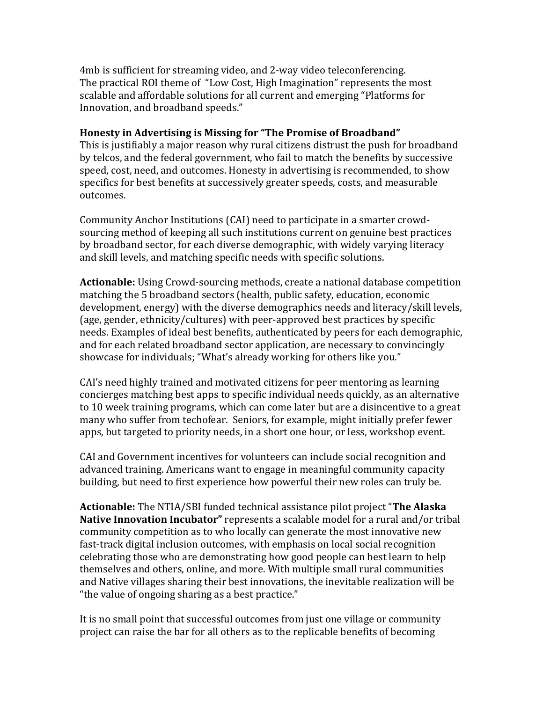4mb is sufficient for streaming video, and 2-way video teleconferencing. The practical ROI theme of "Low Cost, High Imagination" represents the most scalable and affordable solutions for all current and emerging "Platforms for Innovation, and broadband speeds."

#### **Honesty in Advertising is Missing for "The Promise of Broadband"**

This is justifiably a major reason why rural citizens distrust the push for broadband by telcos, and the federal government, who fail to match the benefits by successive speed, cost, need, and outcomes. Honesty in advertising is recommended, to show specifics for best benefits at successively greater speeds, costs, and measurable outcomes.

Community Anchor Institutions (CAI) need to participate in a smarter crowdsourcing method of keeping all such institutions current on genuine best practices by broadband sector, for each diverse demographic, with widely varying literacy and skill levels, and matching specific needs with specific solutions.

**Actionable:** Using Crowd-sourcing methods, create a national database competition matching the 5 broadband sectors (health, public safety, education, economic development, energy) with the diverse demographics needs and literacy/skill levels, (age, gender, ethnicity/cultures) with peer-approved best practices by specific needs. Examples of ideal best benefits, authenticated by peers for each demographic, and for each related broadband sector application, are necessary to convincingly showcase for individuals; "What's already working for others like you."

CAI's need highly trained and motivated citizens for peer mentoring as learning concierges matching best apps to specific individual needs quickly, as an alternative to 10 week training programs, which can come later but are a disincentive to a great many who suffer from techofear. Seniors, for example, might initially prefer fewer apps, but targeted to priority needs, in a short one hour, or less, workshop event.

CAI and Government incentives for volunteers can include social recognition and advanced training. Americans want to engage in meaningful community capacity building, but need to first experience how powerful their new roles can truly be.

**Actionable:** The NTIA/SBI funded technical assistance pilot project "**The Alaska Native Innovation Incubator"** represents a scalable model for a rural and/or tribal community competition as to who locally can generate the most innovative new fast-track digital inclusion outcomes, with emphasis on local social recognition celebrating those who are demonstrating how good people can best learn to help themselves and others, online, and more. With multiple small rural communities and Native villages sharing their best innovations, the inevitable realization will be "the value of ongoing sharing as a best practice."

It is no small point that successful outcomes from just one village or community project can raise the bar for all others as to the replicable benefits of becoming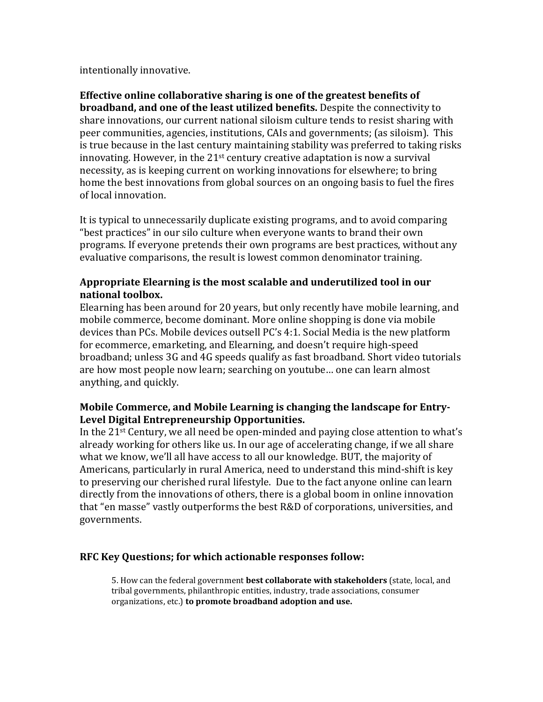intentionally innovative.

**Effective online collaborative sharing is one of the greatest benefits of broadband, and one of the least utilized benefits.** Despite the connectivity to share innovations, our current national siloism culture tends to resist sharing with peer communities, agencies, institutions, CAIs and governments; (as siloism). This is true because in the last century maintaining stability was preferred to taking risks innovating. However, in the 21st century creative adaptation is now a survival necessity, as is keeping current on working innovations for elsewhere; to bring home the best innovations from global sources on an ongoing basis to fuel the fires of local innovation.

It is typical to unnecessarily duplicate existing programs, and to avoid comparing "best practices" in our silo culture when everyone wants to brand their own programs. If everyone pretends their own programs are best practices, without any evaluative comparisons, the result is lowest common denominator training.

## **Appropriate Elearning is the most scalable and underutilized tool in our national toolbox.**

Elearning has been around for 20 years, but only recently have mobile learning, and mobile commerce, become dominant. More online shopping is done via mobile devices than PCs. Mobile devices outsell PC's 4:1. Social Media is the new platform for ecommerce, emarketing, and Elearning, and doesn't require high-speed broadband; unless 3G and 4G speeds qualify as fast broadband. Short video tutorials are how most people now learn; searching on youtube… one can learn almost anything, and quickly.

## **Mobile Commerce, and Mobile Learning is changing the landscape for Entry-Level Digital Entrepreneurship Opportunities.**

In the 21st Century, we all need be open-minded and paying close attention to what's already working for others like us. In our age of accelerating change, if we all share what we know, we'll all have access to all our knowledge. BUT, the majority of Americans, particularly in rural America, need to understand this mind-shift is key to preserving our cherished rural lifestyle. Due to the fact anyone online can learn directly from the innovations of others, there is a global boom in online innovation that "en masse" vastly outperforms the best R&D of corporations, universities, and governments.

#### **RFC Key Questions; for which actionable responses follow:**

5. How can the federal government **best collaborate with stakeholders** (state, local, and tribal governments, philanthropic entities, industry, trade associations, consumer organizations, etc.) **to promote broadband adoption and use.**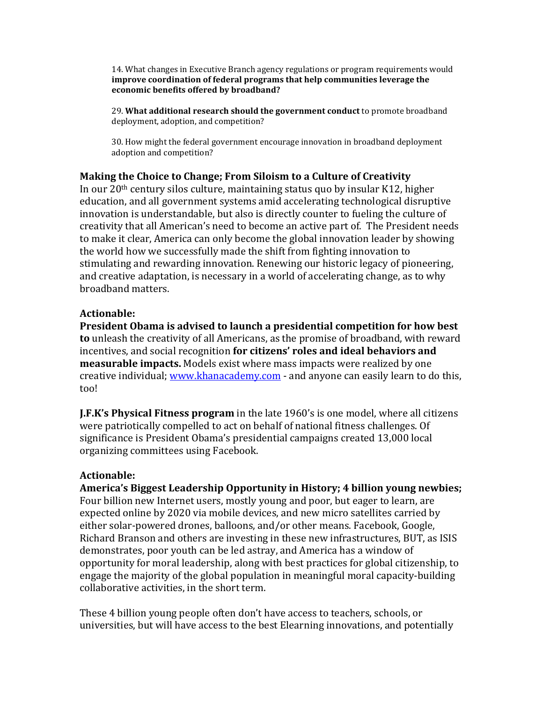14. What changes in Executive Branch agency regulations or program requirements would **improve coordination of federal programs that help communities leverage the economic benefits offered by broadband?**

29. **What additional research should the government conduct** to promote broadband deployment, adoption, and competition?

30. How might the federal government encourage innovation in broadband deployment adoption and competition?

#### **Making the Choice to Change; From Siloism to a Culture of Creativity**

In our  $20<sup>th</sup>$  century silos culture, maintaining status quo by insular K12, higher education, and all government systems amid accelerating technological disruptive innovation is understandable, but also is directly counter to fueling the culture of creativity that all American's need to become an active part of. The President needs to make it clear, America can only become the global innovation leader by showing the world how we successfully made the shift from fighting innovation to stimulating and rewarding innovation. Renewing our historic legacy of pioneering, and creative adaptation, is necessary in a world of accelerating change, as to why broadband matters.

#### **Actionable:**

**President Obama is advised to launch a presidential competition for how best to** unleash the creativity of all Americans, as the promise of broadband, with reward incentives, and social recognition **for citizens' roles and ideal behaviors and measurable impacts.** Models exist where mass impacts were realized by one creative individual; [www.khanacademy.com](http://www.khanacademy.com/) - and anyone can easily learn to do this, too!

**J.F.K's Physical Fitness program** in the late 1960's is one model, where all citizens were patriotically compelled to act on behalf of national fitness challenges. Of significance is President Obama's presidential campaigns created 13,000 local organizing committees using Facebook.

#### **Actionable:**

**America's Biggest Leadership Opportunity in History; 4 billion young newbies;** Four billion new Internet users, mostly young and poor, but eager to learn, are expected online by 2020 via mobile devices, and new micro satellites carried by either solar-powered drones, balloons, and/or other means. Facebook, Google, Richard Branson and others are investing in these new infrastructures, BUT, as ISIS demonstrates, poor youth can be led astray, and America has a window of opportunity for moral leadership, along with best practices for global citizenship, to engage the majority of the global population in meaningful moral capacity-building collaborative activities, in the short term.

These 4 billion young people often don't have access to teachers, schools, or universities, but will have access to the best Elearning innovations, and potentially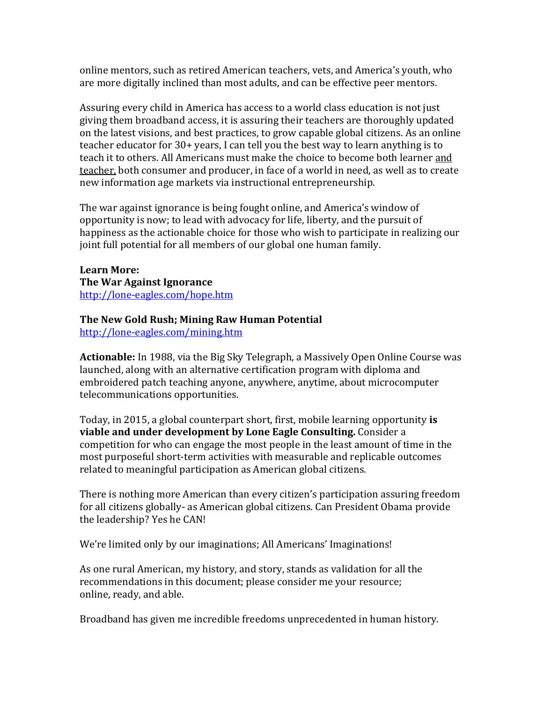online mentors, such as retired American teachers, vets, and America's youth, who are more digitally inclined than most adults, and can be effective peer mentors.

Assuring every child in America has access to a world class education is not just giving them broadband access, it is assuring their teachers are thoroughly updated on the latest visions, and best practices, to grow capable global citizens. As an online teacher educator for 30+ years, I can tell you the best way to learn anything is to teach it to others. All Americans must make the choice to become both learner and teacher, both consumer and producer, in face of a world in need, as well as to create new information age markets via instructional entrepreneurship.

The war against ignorance is being fought online, and America's window of opportunity is now; to lead with advocacy for life, liberty, and the pursuit of happiness as the actionable choice for those who wish to participate in realizing our joint full potential for all members of our global one human family.

**Learn More: The War Against Ignorance** <http://lone-eagles.com/hope.htm>

## **The New Gold Rush; Mining Raw Human Potential**

<http://lone-eagles.com/mining.htm>

**Actionable:** In 1988, via the Big Sky Telegraph, a Massively Open Online Course was launched, along with an alternative certification program with diploma and embroidered patch teaching anyone, anywhere, anytime, about microcomputer telecommunications opportunities.

Today, in 2015, a global counterpart short, first, mobile learning opportunity **is viable and under development by Lone Eagle Consulting.** Consider a competition for who can engage the most people in the least amount of time in the most purposeful short-term activities with measurable and replicable outcomes related to meaningful participation as American global citizens.

There is nothing more American than every citizen's participation assuring freedom for all citizens globally- as American global citizens. Can President Obama provide the leadership? Yes he CAN!

We're limited only by our imaginations; All Americans' Imaginations!

As one rural American, my history, and story, stands as validation for all the recommendations in this document; please consider me your resource; online, ready, and able.

Broadband has given me incredible freedoms unprecedented in human history.